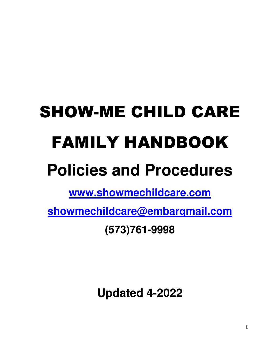# SHOW-ME CHILD CARE FAMILY HANDBOOK

## **Policies and Procedures**

**www.showmechildcare.com**

**showmechildcare@embarqmail.com**

**(573)761-9998** 

**Updated 4-2022**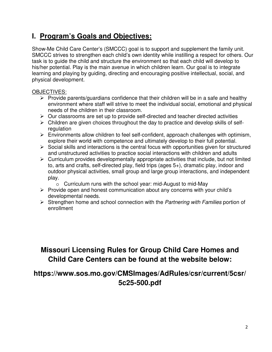## **I. Program's Goals and Objectives:**

Show-Me Child Care Center's (SMCCC) goal is to support and supplement the family unit. SMCCC strives to strengthen each child's own identity while instilling a respect for others. Our task is to guide the child and structure the environment so that each child will develop to his/her potential. Play is the main avenue in which children learn. Our goal is to integrate learning and playing by guiding, directing and encouraging positive intellectual, social, and physical development.

#### OBJECTIVES:

- $\triangleright$  Provide parents/guardians confidence that their children will be in a safe and healthy environment where staff will strive to meet the individual social, emotional and physical needs of the children in their classroom.
- $\triangleright$  Our classrooms are set up to provide self-directed and teacher directed activities
- $\triangleright$  Children are given choices throughout the day to practice and develop skills of selfregulation
- $\triangleright$  Environments allow children to feel self-confident, approach challenges with optimism, explore their world with competence and ultimately develop to their full potential.
- $\triangleright$  Social skills and interactions is the central focus with opportunities given for structured and unstructured activities to practice social interactions with children and adults
- $\triangleright$  Curriculum provides developmentally appropriate activities that include, but not limited to, arts and crafts, self-directed play, field trips (ages 5+), dramatic play, indoor and outdoor physical activities, small group and large group interactions, and independent play.
	- o Curriculum runs with the school year: mid-August to mid-May
- $\triangleright$  Provide open and honest communication about any concerns with your child's developmental needs.
- $\triangleright$  Strengthen home and school connection with the *Partnering with Families* portion of enrollment

## **Missouri Licensing Rules for Group Child Care Homes and Child Care Centers can be found at the website below:**

## **https://www.sos.mo.gov/CMSImages/AdRules/csr/current/5csr/ 5c25-500.pdf**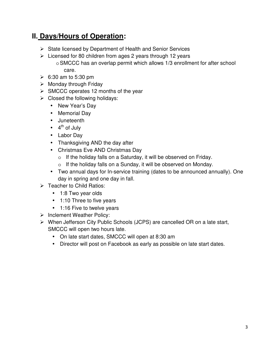## **II. Days/Hours of Operation:**

- $\triangleright$  State licensed by Department of Health and Senior Services
- $\triangleright$  Licensed for 80 children from ages 2 years through 12 years o SMCCC has an overlap permit which allows 1/3 enrollment for after school care.
- $\geqslant$  6:30 am to 5:30 pm
- $\triangleright$  Monday through Friday
- $\triangleright$  SMCCC operates 12 months of the year
- $\triangleright$  Closed the following holidays:
	- New Year's Day
	- Memorial Day
	- Juneteenth
	- $\bullet$  4<sup>th</sup> of July
	- Labor Day
	- Thanksgiving AND the day after
	- Christmas Eve AND Christmas Day
		- o If the holiday falls on a Saturday, it will be observed on Friday.
		- o If the holiday falls on a Sunday, it will be observed on Monday.
	- Two annual days for In-service training (dates to be announced annually). One day in spring and one day in fall.
- $\triangleright$  Teacher to Child Ratios:
	- 1:8 Two year olds
	- 1:10 Three to five years
	- 1:16 Five to twelve years
- $\triangleright$  Inclement Weather Policy:
- When Jefferson City Public Schools (JCPS) are cancelled OR on a late start, SMCCC will open two hours late.
	- On late start dates, SMCCC will open at 8:30 am
	- Director will post on Facebook as early as possible on late start dates.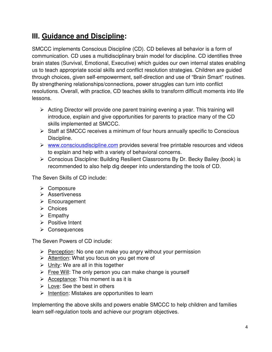## **III. Guidance and Discipline:**

SMCCC implements Conscious Discipline (CD). CD believes all behavior is a form of communication. CD uses a multidisciplinary brain model for discipline. CD identifies three brain states (Survival, Emotional, Executive) which guides our own internal states enabling us to teach appropriate social skills and conflict resolution strategies. Children are guided through choices, given self-empowerment, self-direction and use of "Brain Smart" routines. By strengthening relationships/connections, power struggles can turn into conflict resolutions. Overall, with practice, CD teaches skills to transform difficult moments into life lessons.

- $\triangleright$  Acting Director will provide one parent training evening a year. This training will introduce, explain and give opportunities for parents to practice many of the CD skills implemented at SMCCC.
- $\triangleright$  Staff at SMCCC receives a minimum of four hours annually specific to Conscious Discipline.
- $\triangleright$  www.consciousdiscipline.com provides several free printable resources and videos to explain and help with a variety of behavioral concerns.
- Conscious Discipline: Building Resilient Classrooms By Dr. Becky Bailey (book) is recommended to also help dig deeper into understanding the tools of CD.

The Seven Skills of CD include:

- **≻** Composure
- $\triangleright$  Assertiveness
- $\triangleright$  Encouragement
- $\triangleright$  Choices
- $\triangleright$  Empathy
- $\triangleright$  Positive Intent
- Consequences

The Seven Powers of CD include:

- $\triangleright$  Perception: No one can make you angry without your permission
- $\triangleright$  Attention: What you focus on you get more of
- $\triangleright$  Unity: We are all in this together
- $\triangleright$  Free Will: The only person you can make change is yourself
- $\triangleright$  Acceptance: This moment is as it is
- $\triangleright$  Love: See the best in others
- $\triangleright$  Intention: Mistakes are opportunities to learn

Implementing the above skills and powers enable SMCCC to help children and families learn self-regulation tools and achieve our program objectives.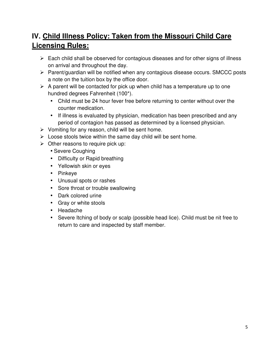## **IV. Child Illness Policy: Taken from the Missouri Child Care Licensing Rules:**

- $\triangleright$  Each child shall be observed for contagious diseases and for other signs of illness on arrival and throughout the day.
- $\triangleright$  Parent/guardian will be notified when any contagious disease occurs. SMCCC posts a note on the tuition box by the office door.
- $\triangleright$  A parent will be contacted for pick up when child has a temperature up to one hundred degrees Fahrenheit (100\*).
	- Child must be 24 hour fever free before returning to center without over the counter medication.
	- If illness is evaluated by physician, medication has been prescribed and any period of contagion has passed as determined by a licensed physician.
- $\triangleright$  Vomiting for any reason, child will be sent home.
- $\triangleright$  Loose stools twice within the same day child will be sent home.
- $\triangleright$  Other reasons to require pick up:
	- Severe Coughing
	- Difficulty or Rapid breathing
	- Yellowish skin or eyes
	- Pinkeye
	- Unusual spots or rashes
	- Sore throat or trouble swallowing
	- Dark colored urine
	- Gray or white stools
	- Headache
	- Severe Itching of body or scalp (possible head lice). Child must be nit free to return to care and inspected by staff member.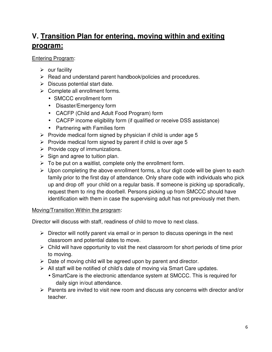## **V. Transition Plan for entering, moving within and exiting program:**

#### Entering Program:

- $\triangleright$  our facility
- $\triangleright$  Read and understand parent handbook/policies and procedures.
- $\triangleright$  Discuss potential start date.
- $\triangleright$  Complete all enrollment forms.
	- SMCCC enrollment form
	- Disaster/Emergency form
	- CACFP (Child and Adult Food Program) form
	- CACFP income eligibility form (if qualified or receive DSS assistance)
	- Partnering with Families form
- $\triangleright$  Provide medical form signed by physician if child is under age 5
- $\triangleright$  Provide medical form signed by parent if child is over age 5
- $\triangleright$  Provide copy of immunizations.
- $\triangleright$  Sign and agree to tuition plan.
- $\triangleright$  To be put on a waitlist, complete only the enrollment form.
- $\triangleright$  Upon completing the above enrollment forms, a four digit code will be given to each family prior to the first day of attendance. Only share code with individuals who pick up and drop off your child on a regular basis. If someone is picking up sporadically, request them to ring the doorbell. Persons picking up from SMCCC should have identification with them in case the supervising adult has not previously met them.

#### Moving/Transition Within the program:

Director will discuss with staff, readiness of child to move to next class.

- $\triangleright$  Director will notify parent via email or in person to discuss openings in the next classroom and potential dates to move.
- $\triangleright$  Child will have opportunity to visit the next classroom for short periods of time prior to moving.
- $\triangleright$  Date of moving child will be agreed upon by parent and director.
- $\triangleright$  All staff will be notified of child's date of moving via Smart Care updates.
	- SmartCare is the electronic attendance system at SMCCC. This is required for daily sign in/out attendance.
- $\triangleright$  Parents are invited to visit new room and discuss any concerns with director and/or teacher.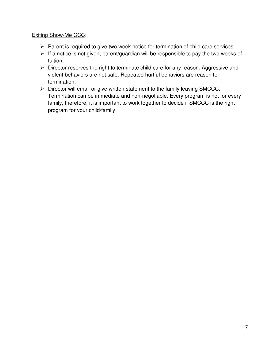#### Exiting Show-Me CCC:

- $\triangleright$  Parent is required to give two week notice for termination of child care services.
- $\triangleright$  If a notice is not given, parent/guardian will be responsible to pay the two weeks of tuition.
- $\triangleright$  Director reserves the right to terminate child care for any reason. Aggressive and violent behaviors are not safe. Repeated hurtful behaviors are reason for termination.
- $\triangleright$  Director will email or give written statement to the family leaving SMCCC. Termination can be immediate and non-negotiable. Every program is not for every family, therefore, it is important to work together to decide if SMCCC is the right program for your child/family.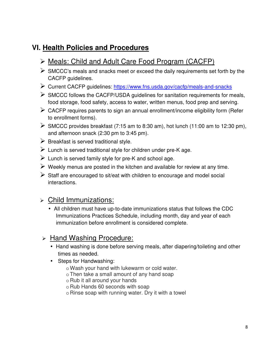## **VI. Health Policies and Procedures**

## Meals: Child and Adult Care Food Program (CACFP)

- $\triangleright$  SMCCC's meals and snacks meet or exceed the daily requirements set forth by the CACFP guidelines.
- Current CACFP guidelines: https://www.fns.usda.gov/cacfp/meals-and-snacks
- $\triangleright$  SMCCC follows the CACFP/USDA guidelines for sanitation requirements for meals, food storage, food safety, access to water, written menus, food prep and serving.
- $\triangleright$  CACFP requires parents to sign an annual enrollment/income eligibility form (Refer to enrollment forms).
- $\triangleright$  SMCCC provides breakfast (7:15 am to 8:30 am), hot lunch (11:00 am to 12:30 pm), and afternoon snack (2:30 pm to 3:45 pm).
- $\triangleright$  Breakfast is served traditional style.
- $\triangleright$  Lunch is served traditional style for children under pre-K age.
- $\triangleright$  Lunch is served family style for pre-K and school age.
- $\triangleright$  Weekly menus are posted in the kitchen and available for review at any time.
- $\triangleright$  Staff are encouraged to sit/eat with children to encourage and model social interactions.

### Child Immunizations:

• All children must have up-to-date immunizations status that follows the CDC Immunizations Practices Schedule, including month, day and year of each immunization before enrollment is considered complete.

#### > Hand Washing Procedure:

- Hand washing is done before serving meals, after diapering/toileting and other times as needed.
- Steps for Handwashing:
	- o Wash your hand with lukewarm or cold water.
	- o Then take a small amount of any hand soap
	- o Rub it all around your hands
	- o Rub Hands 60 seconds with soap
	- o Rinse soap with running water. Dry it with a towel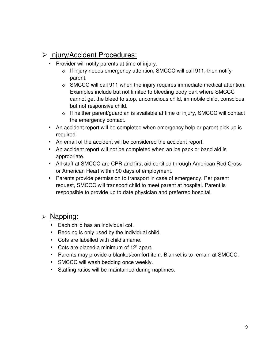## $\triangleright$  Injury/Accident Procedures:

- Provider will notify parents at time of injury.
	- o If injury needs emergency attention, SMCCC will call 911, then notify parent.
	- o SMCCC will call 911 when the injury requires immediate medical attention. Examples include but not limited to bleeding body part where SMCCC cannot get the bleed to stop, unconscious child, immobile child, conscious but not responsive child.
	- o If neither parent/guardian is available at time of injury, SMCCC will contact the emergency contact.
- An accident report will be completed when emergency help or parent pick up is required.
- An email of the accident will be considered the accident report.
- An accident report will not be completed when an ice pack or band aid is appropriate.
- All staff at SMCCC are CPR and first aid certified through American Red Cross or American Heart within 90 days of employment.
- Parents provide permission to transport in case of emergency. Per parent request, SMCCC will transport child to meet parent at hospital. Parent is responsible to provide up to date physician and preferred hospital.

#### > Napping:

- Each child has an individual cot.
- Bedding is only used by the individual child.
- Cots are labelled with child's name.
- Cots are placed a minimum of 12' apart.
- Parents may provide a blanket/comfort item. Blanket is to remain at SMCCC.
- SMCCC will wash bedding once weekly.
- Staffing ratios will be maintained during naptimes.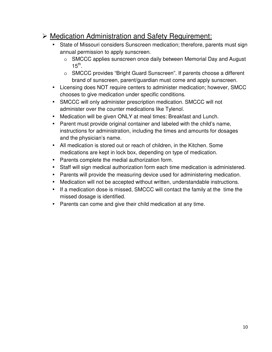## Medication Administration and Safety Requirement:

- State of Missouri considers Sunscreen medication; therefore, parents must sign annual permission to apply sunscreen.
	- o SMCCC applies sunscreen once daily between Memorial Day and August  $15^{\text{th}}$ .
	- o SMCCC provides "Bright Guard Sunscreen". If parents choose a different brand of sunscreen, parent/guardian must come and apply sunscreen.
- Licensing does NOT require centers to administer medication; however, SMCC chooses to give medication under specific conditions.
- SMCCC will only administer prescription medication. SMCCC will not administer over the counter medications like Tylenol.
- Medication will be given ONLY at meal times: Breakfast and Lunch.
- Parent must provide original container and labeled with the child's name, instructions for administration, including the times and amounts for dosages and the physician's name.
- All medication is stored out or reach of children, in the Kitchen. Some medications are kept in lock box, depending on type of medication.
- Parents complete the medial authorization form.
- Staff will sign medical authorization form each time medication is administered.
- Parents will provide the measuring device used for administering medication.
- Medication will not be accepted without written, understandable instructions.
- If a medication dose is missed, SMCCC will contact the family at the time the missed dosage is identified.
- Parents can come and give their child medication at any time.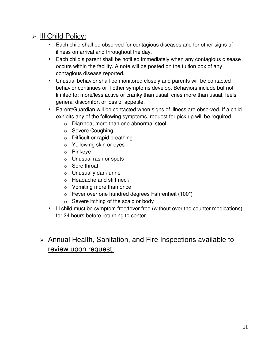## > III Child Policy:

- Each child shall be observed for contagious diseases and for other signs of illness on arrival and throughout the day.
- Each child's parent shall be notified immediately when any contagious disease occurs within the facility. A note will be posted on the tuition box of any contagious disease reported.
- Unusual behavior shall be monitored closely and parents will be contacted if behavior continues or if other symptoms develop. Behaviors include but not limited to: more/less active or cranky than usual, cries more than usual, feels general discomfort or loss of appetite.
- Parent/Guardian will be contacted when signs of illness are observed. If a child exhibits any of the following symptoms, request for pick up will be required.
	- o Diarrhea, more than one abnormal stool
	- o Severe Coughing
	- o Difficult or rapid breathing
	- o Yellowing skin or eyes
	- o Pinkeye
	- o Unusual rash or spots
	- o Sore throat
	- o Unusually dark urine
	- o Headache and stiff neck
	- o Vomiting more than once
	- $\circ$  Fever over one hundred degrees Fahrenheit (100\*)
	- o Severe itching of the scalp or body
- Ill child must be symptom free/fever free (without over the counter medications) for 24 hours before returning to center.

## Annual Health, Sanitation, and Fire Inspections available to review upon request.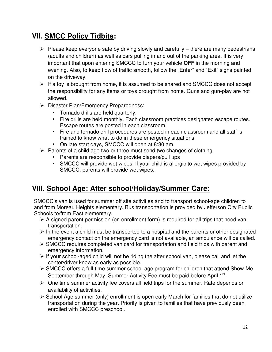## **VII. SMCC Policy Tidbits:**

- $\triangleright$  Please keep everyone safe by driving slowly and carefully there are many pedestrians (adults and children) as well as cars pulling in and out of the parking area. It is very important that upon entering SMCCC to turn your vehicle **OFF** in the morning and evening. Also, to keep flow of traffic smooth, follow the "Enter" and "Exit" signs painted on the driveway.
- $\triangleright$  If a toy is brought from home, it is assumed to be shared and SMCCC does not accept the responsibility for any items or toys brought from home. Guns and gun-play are not allowed.
- Disaster Plan/Emergency Preparedness:
	- Tornado drills are held quarterly.
	- Fire drills are held monthly. Each classroom practices designated escape routes. Escape routes are posted in each classroom.
	- Fire and tornado drill procedures are posted in each classroom and all staff is trained to know what to do in these emergency situations.
	- On late start days, SMCCC will open at 8:30 am.
- $\triangleright$  Parents of a child age two or three must send two changes of clothing.
	- Parents are responsible to provide diapers/pull ups
	- SMCCC will provide wet wipes. If your child is allergic to wet wipes provided by SMCCC, parents will provide wet wipes.

## **VIII. School Age: After school/Holiday/Summer Care:**

 SMCCC's van is used for summer off site activities and to transport school-age children to and from Moreau Heights elementary. Bus transportation is provided by Jefferson City Public Schools to/from East elementary.

- $\triangleright$  A signed parent permission (on enrollment form) is required for all trips that need van transportation.
- $\triangleright$  In the event a child must be transported to a hospital and the parents or other designated emergency contact on the emergency card is not available, an ambulance will be called.
- SMCCC requires completed van card for transportation and field trips with parent and emergency information.
- $\triangleright$  If your school-aged child will not be riding the after school van, please call and let the center/driver know as early as possible.
- SMCCC offers a full-time summer school-age program for children that attend Show-Me September through May. Summer Activity Fee must be paid before April 1<sup>st</sup>.
- $\triangleright$  One time summer activity fee covers all field trips for the summer. Rate depends on availability of activities.
- $\triangleright$  School Age summer (only) enrollment is open early March for families that do not utilize transportation during the year. Priority is given to families that have previously been enrolled with SMCCC preschool.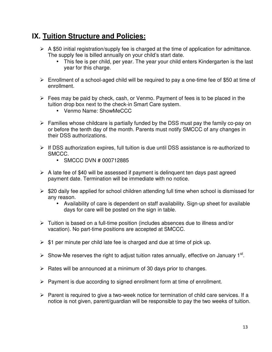## **IX. Tuition Structure and Policies:**

- $\triangleright$  A \$50 initial registration/supply fee is charged at the time of application for admittance. The supply fee is billed annually on your child's start date.
	- This fee is per child, per year. The year your child enters Kindergarten is the last year for this charge.
- $\triangleright$  Enrollment of a school-aged child will be required to pay a one-time fee of \$50 at time of enrollment.
- $\triangleright$  Fees may be paid by check, cash, or Venmo. Payment of fees is to be placed in the tuition drop box next to the check-in Smart Care system.
	- Venmo Name: ShowMeCCC
- $\triangleright$  Families whose childcare is partially funded by the DSS must pay the family co-pay on or before the tenth day of the month. Parents must notify SMCCC of any changes in their DSS authorizations.
- $\triangleright$  If DSS authorization expires, full tuition is due until DSS assistance is re-authorized to SMCCC.
	- SMCCC DVN # 000712885
- $\triangleright$  A late fee of \$40 will be assessed if payment is delinguent ten days past agreed payment date. Termination will be immediate with no notice.
- $\triangleright$  \$20 daily fee applied for school children attending full time when school is dismissed for any reason.
	- Availability of care is dependent on staff availability. Sign-up sheet for available days for care will be posted on the sign in table.
- $\triangleright$  Tuition is based on a full-time position (includes absences due to illness and/or vacation). No part-time positions are accepted at SMCCC.
- $\triangleright$  \$1 per minute per child late fee is charged and due at time of pick up.
- $\triangleright$  Show-Me reserves the right to adjust tuition rates annually, effective on January 1<sup>st</sup>.
- $\triangleright$  Rates will be announced at a minimum of 30 days prior to changes.
- $\triangleright$  Payment is due according to signed enrollment form at time of enrollment.
- $\triangleright$  Parent is required to give a two-week notice for termination of child care services. If a notice is not given, parent/guardian will be responsible to pay the two weeks of tuition.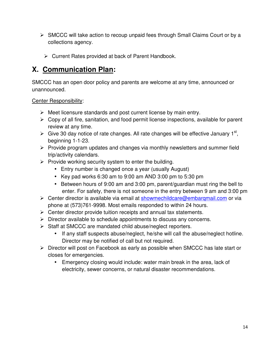- $\triangleright$  SMCCC will take action to recoup unpaid fees through Small Claims Court or by a collections agency.
	- Current Rates provided at back of Parent Handbook.

## **X. Communication Plan:**

SMCCC has an open door policy and parents are welcome at any time, announced or unannounced.

Center Responsibility:

- $\triangleright$  Meet licensure standards and post current license by main entry.
- $\triangleright$  Copy of all fire, sanitation, and food permit license inspections, available for parent review at any time.
- $\triangleright$  Give 30 day notice of rate changes. All rate changes will be effective January 1<sup>st</sup>, beginning 1-1-23.
- $\triangleright$  Provide program updates and changes via monthly newsletters and summer field trip/activity calendars.
- $\triangleright$  Provide working security system to enter the building.
	- Entry number is changed once a year (usually August)
	- Key pad works 6:30 am to 9:00 am AND 3:00 pm to 5:30 pm
	- Between hours of 9:00 am and 3:00 pm, parent/guardian must ring the bell to enter. For safety, there is not someone in the entry between 9 am and 3:00 pm
- $\triangleright$  Center director is available via email at showmechildcare@embargmail.com or via phone at (573)761-9998. Most emails responded to within 24 hours.
- $\triangleright$  Center director provide tuition receipts and annual tax statements.
- $\triangleright$  Director available to schedule appointments to discuss any concerns.
- $\triangleright$  Staff at SMCCC are mandated child abuse/neglect reporters.
	- If any staff suspects abuse/neglect, he/she will call the abuse/neglect hotline. Director may be notified of call but not required.
- $\triangleright$  Director will post on Facebook as early as possible when SMCCC has late start or closes for emergencies.
	- Emergency closing would include: water main break in the area, lack of electricity, sewer concerns, or natural disaster recommendations.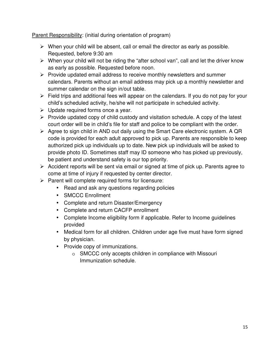Parent Responsibility: (initial during orientation of program)

- $\triangleright$  When your child will be absent, call or email the director as early as possible. Requested, before 9:30 am
- $\triangleright$  When your child will not be riding the "after school van", call and let the driver know as early as possible. Requested before noon.
- $\triangleright$  Provide updated email address to receive monthly newsletters and summer calendars. Parents without an email address may pick up a monthly newsletter and summer calendar on the sign in/out table.
- $\triangleright$  Field trips and additional fees will appear on the calendars. If you do not pay for your child's scheduled activity, he/she will not participate in scheduled activity.
- $\triangleright$  Update required forms once a year.
- $\triangleright$  Provide updated copy of child custody and visitation schedule. A copy of the latest court order will be in child's file for staff and police to be compliant with the order.
- $\triangleright$  Agree to sign child in AND out daily using the Smart Care electronic system. A QR code is provided for each adult approved to pick up. Parents are responsible to keep authorized pick up individuals up to date. New pick up individuals will be asked to provide photo ID. Sometimes staff may ID someone who has picked up previously, be patient and understand safety is our top priority.
- $\triangleright$  Accident reports will be sent via email or signed at time of pick up. Parents agree to come at time of injury if requested by center director.
- $\triangleright$  Parent will complete required forms for licensure:
	- Read and ask any questions regarding policies
	- SMCCC Enrollment
	- Complete and return Disaster/Emergency
	- Complete and return CACFP enrollment
	- Complete Income eligibility form if applicable. Refer to Income guidelines provided
	- Medical form for all children. Children under age five must have form signed by physician.
	- Provide copy of immunizations.
		- o SMCCC only accepts children in compliance with Missouri Immunization schedule.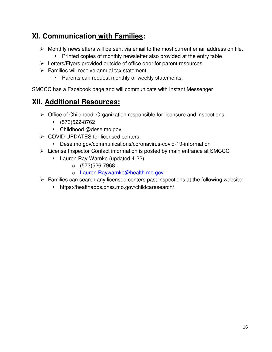## **XI. Communication with Families:**

- $\triangleright$  Monthly newsletters will be sent via email to the most current email address on file.
	- Printed copies of monthly newsletter also provided at the entry table
- Eletters/Flyers provided outside of office door for parent resources.
- $\triangleright$  Families will receive annual tax statement.
	- Parents can request monthly or weekly statements.

SMCCC has a Facebook page and will communicate with Instant Messenger

## **XII. Additional Resources:**

- $\triangleright$  Office of Childhood: Organization responsible for licensure and inspections.
	- (573)522-8762
	- Childhood @dese.mo.gov
- **► COVID UPDATES for licensed centers:** 
	- Dese.mo.gov/communications/coronavirus-covid-19-information
- $\triangleright$  License Inspector Contact information is posted by main entrance at SMCCC
	- Lauren Ray-Warnke (updated 4-22)
		- o (573)526-7968
		- o Lauren.Raywarnke@health.mo.gov
- $\triangleright$  Families can search any licensed centers past inspections at the following website:
	- https://healthapps.dhss.mo.gov/childcaresearch/